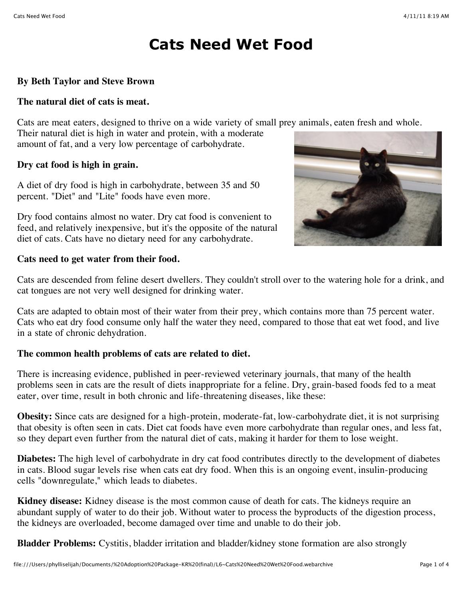# **Cats Need Wet Food**

### **By Beth Taylor and Steve Brown**

#### **The natural diet of cats is meat.**

Cats are meat eaters, designed to thrive on a wide variety of small prey animals, eaten fresh and whole.

Their natural diet is high in water and protein, with a moderate amount of fat, and a very low percentage of carbohydrate.

#### **Dry cat food is high in grain.**

A diet of dry food is high in carbohydrate, between 35 and 50 percent. "Diet" and "Lite" foods have even more.

Dry food contains almost no water. Dry cat food is convenient to feed, and relatively inexpensive, but it's the opposite of the natural diet of cats. Cats have no dietary need for any carbohydrate.



#### **Cats need to get water from their food.**

Cats are descended from feline desert dwellers. They couldn't stroll over to the watering hole for a drink, and cat tongues are not very well designed for drinking water.

Cats are adapted to obtain most of their water from their prey, which contains more than 75 percent water. Cats who eat dry food consume only half the water they need, compared to those that eat wet food, and live in a state of chronic dehydration.

#### **The common health problems of cats are related to diet.**

There is increasing evidence, published in peer-reviewed veterinary journals, that many of the health problems seen in cats are the result of diets inappropriate for a feline. Dry, grain-based foods fed to a meat eater, over time, result in both chronic and life-threatening diseases, like these:

**Obesity:** Since cats are designed for a high-protein, moderate-fat, low-carbohydrate diet, it is not surprising that obesity is often seen in cats. Diet cat foods have even more carbohydrate than regular ones, and less fat, so they depart even further from the natural diet of cats, making it harder for them to lose weight.

**Diabetes:** The high level of carbohydrate in dry cat food contributes directly to the development of diabetes in cats. Blood sugar levels rise when cats eat dry food. When this is an ongoing event, insulin-producing cells "downregulate," which leads to diabetes.

**Kidney disease:** Kidney disease is the most common cause of death for cats. The kidneys require an abundant supply of water to do their job. Without water to process the byproducts of the digestion process, the kidneys are overloaded, become damaged over time and unable to do their job.

**Bladder Problems:** Cystitis, bladder irritation and bladder/kidney stone formation are also strongly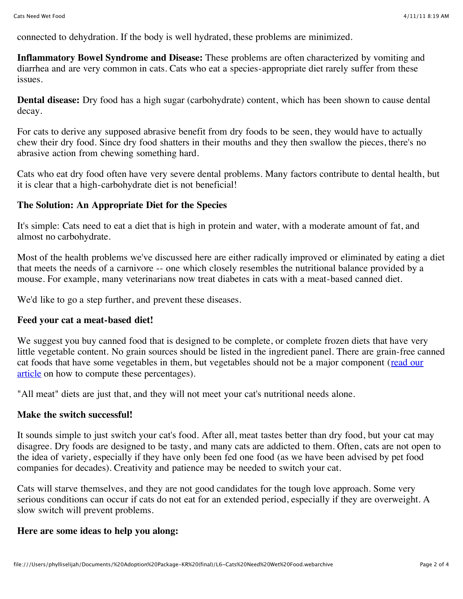connected to dehydration. If the body is well hydrated, these problems are minimized.

**Inflammatory Bowel Syndrome and Disease:** These problems are often characterized by vomiting and diarrhea and are very common in cats. Cats who eat a species-appropriate diet rarely suffer from these issues.

**Dental disease:** Dry food has a high sugar (carbohydrate) content, which has been shown to cause dental decay.

For cats to derive any supposed abrasive benefit from dry foods to be seen, they would have to actually chew their dry food. Since dry food shatters in their mouths and they then swallow the pieces, there's no abrasive action from chewing something hard.

Cats who eat dry food often have very severe dental problems. Many factors contribute to dental health, but it is clear that a high-carbohydrate diet is not beneficial!

#### **The Solution: An Appropriate Diet for the Species**

It's simple: Cats need to eat a diet that is high in protein and water, with a moderate amount of fat, and almost no carbohydrate.

Most of the health problems we've discussed here are either radically improved or eliminated by eating a diet that meets the needs of a carnivore -- one which closely resembles the nutritional balance provided by a mouse. For example, many veterinarians now treat diabetes in cats with a meat-based canned diet.

We'd like to go a step further, and prevent these diseases.

#### **Feed your cat a meat-based diet!**

We suggest you buy canned food that is designed to be complete, or complete frozen diets that have very little vegetable content. No grain sources should be listed in the ingredient panel. There are grain-free canned [cat foods that have some vegetables in them, but vegetables should not be a major component \(read our](http://www.mercola.com/2005/mar/2/pet_food_labels.htm) article on how to compute these percentages).

"All meat" diets are just that, and they will not meet your cat's nutritional needs alone.

#### **Make the switch successful!**

It sounds simple to just switch your cat's food. After all, meat tastes better than dry food, but your cat may disagree. Dry foods are designed to be tasty, and many cats are addicted to them. Often, cats are not open to the idea of variety, especially if they have only been fed one food (as we have been advised by pet food companies for decades). Creativity and patience may be needed to switch your cat.

Cats will starve themselves, and they are not good candidates for the tough love approach. Some very serious conditions can occur if cats do not eat for an extended period, especially if they are overweight. A slow switch will prevent problems.

#### **Here are some ideas to help you along:**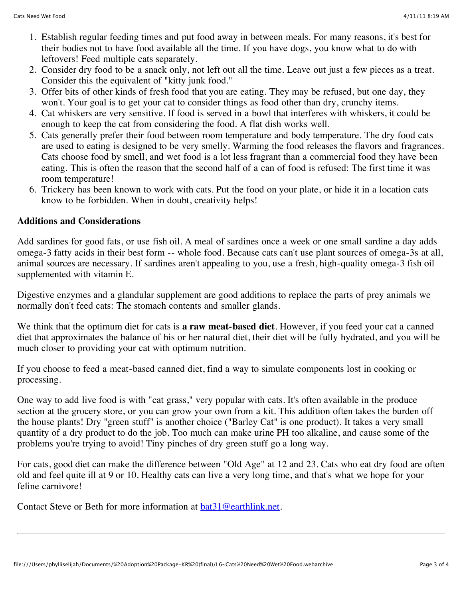- 1. Establish regular feeding times and put food away in between meals. For many reasons, it's best for their bodies not to have food available all the time. If you have dogs, you know what to do with leftovers! Feed multiple cats separately.
- 2. Consider dry food to be a snack only, not left out all the time. Leave out just a few pieces as a treat. Consider this the equivalent of "kitty junk food."
- 3. Offer bits of other kinds of fresh food that you are eating. They may be refused, but one day, they won't. Your goal is to get your cat to consider things as food other than dry, crunchy items.
- 4. Cat whiskers are very sensitive. If food is served in a bowl that interferes with whiskers, it could be enough to keep the cat from considering the food. A flat dish works well.
- 5. Cats generally prefer their food between room temperature and body temperature. The dry food cats are used to eating is designed to be very smelly. Warming the food releases the flavors and fragrances. Cats choose food by smell, and wet food is a lot less fragrant than a commercial food they have been eating. This is often the reason that the second half of a can of food is refused: The first time it was room temperature!
- 6. Trickery has been known to work with cats. Put the food on your plate, or hide it in a location cats know to be forbidden. When in doubt, creativity helps!

## **Additions and Considerations**

Add sardines for good fats, or use fish oil. A meal of sardines once a week or one small sardine a day adds omega-3 fatty acids in their best form -- whole food. Because cats can't use plant sources of omega-3s at all, animal sources are necessary. If sardines aren't appealing to you, use a fresh, high-quality omega-3 fish oil supplemented with vitamin E.

Digestive enzymes and a glandular supplement are good additions to replace the parts of prey animals we normally don't feed cats: The stomach contents and smaller glands.

We think that the optimum diet for cats is **a raw meat-based diet**. However, if you feed your cat a canned diet that approximates the balance of his or her natural diet, their diet will be fully hydrated, and you will be much closer to providing your cat with optimum nutrition.

If you choose to feed a meat-based canned diet, find a way to simulate components lost in cooking or processing.

One way to add live food is with "cat grass," very popular with cats. It's often available in the produce section at the grocery store, or you can grow your own from a kit. This addition often takes the burden off the house plants! Dry "green stuff" is another choice ("Barley Cat" is one product). It takes a very small quantity of a dry product to do the job. Too much can make urine PH too alkaline, and cause some of the problems you're trying to avoid! Tiny pinches of dry green stuff go a long way.

For cats, good diet can make the difference between "Old Age" at 12 and 23. Cats who eat dry food are often old and feel quite ill at 9 or 10. Healthy cats can live a very long time, and that's what we hope for your feline carnivore!

Contact Steve or Beth for more information at **bat31@earthlink.net**.